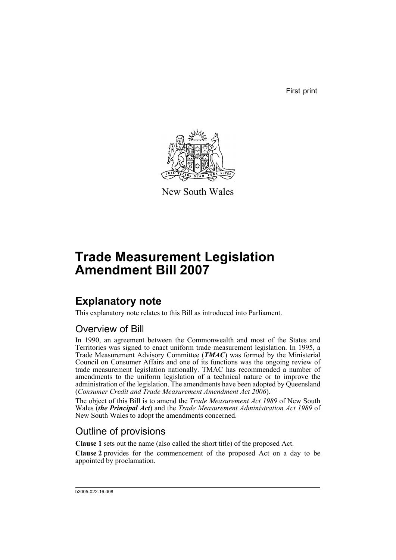First print



New South Wales

# **Trade Measurement Legislation Amendment Bill 2007**

# **Explanatory note**

This explanatory note relates to this Bill as introduced into Parliament.

### Overview of Bill

In 1990, an agreement between the Commonwealth and most of the States and Territories was signed to enact uniform trade measurement legislation. In 1995, a Trade Measurement Advisory Committee (*TMAC*) was formed by the Ministerial Council on Consumer Affairs and one of its functions was the ongoing review of trade measurement legislation nationally. TMAC has recommended a number of amendments to the uniform legislation of a technical nature or to improve the administration of the legislation. The amendments have been adopted by Queensland (*Consumer Credit and Trade Measurement Amendment Act 2006*).

The object of this Bill is to amend the *Trade Measurement Act 1989* of New South Wales (*the Principal Act*) and the *Trade Measurement Administration Act 1989* of New South Wales to adopt the amendments concerned.

## Outline of provisions

**Clause 1** sets out the name (also called the short title) of the proposed Act.

**Clause 2** provides for the commencement of the proposed Act on a day to be appointed by proclamation.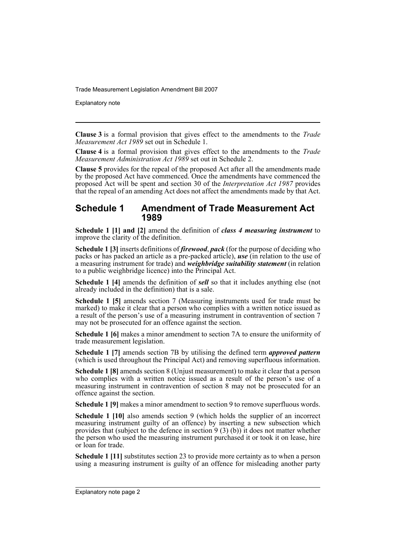Explanatory note

**Clause 3** is a formal provision that gives effect to the amendments to the *Trade Measurement Act 1989* set out in Schedule 1.

**Clause 4** is a formal provision that gives effect to the amendments to the *Trade Measurement Administration Act 1989* set out in Schedule 2.

**Clause 5** provides for the repeal of the proposed Act after all the amendments made by the proposed Act have commenced. Once the amendments have commenced the proposed Act will be spent and section 30 of the *Interpretation Act 1987* provides that the repeal of an amending Act does not affect the amendments made by that Act.

#### **Schedule 1 Amendment of Trade Measurement Act 1989**

**Schedule 1 [1] and [2]** amend the definition of *class 4 measuring instrument* to improve the clarity of the definition.

**Schedule 1 [3]** inserts definitions of *firewood*, *pack* (for the purpose of deciding who packs or has packed an article as a pre-packed article), *use* (in relation to the use of a measuring instrument for trade) and *weighbridge suitability statement* (in relation to a public weighbridge licence) into the Principal Act.

**Schedule 1 [4]** amends the definition of *sell* so that it includes anything else (not already included in the definition) that is a sale.

**Schedule 1 [5]** amends section 7 (Measuring instruments used for trade must be marked) to make it clear that a person who complies with a written notice issued as a result of the person's use of a measuring instrument in contravention of section 7 may not be prosecuted for an offence against the section.

**Schedule 1 [6]** makes a minor amendment to section 7A to ensure the uniformity of trade measurement legislation.

**Schedule 1 [7]** amends section 7B by utilising the defined term *approved pattern* (which is used throughout the Principal Act) and removing superfluous information.

**Schedule 1 [8]** amends section 8 (Unjust measurement) to make it clear that a person who complies with a written notice issued as a result of the person's use of a measuring instrument in contravention of section 8 may not be prosecuted for an offence against the section.

**Schedule 1 [9]** makes a minor amendment to section 9 to remove superfluous words.

**Schedule 1 [10]** also amends section 9 (which holds the supplier of an incorrect measuring instrument guilty of an offence) by inserting a new subsection which provides that (subject to the defence in section 9 (3) (b)) it does not matter whether the person who used the measuring instrument purchased it or took it on lease, hire or loan for trade.

**Schedule 1 [11]** substitutes section 23 to provide more certainty as to when a person using a measuring instrument is guilty of an offence for misleading another party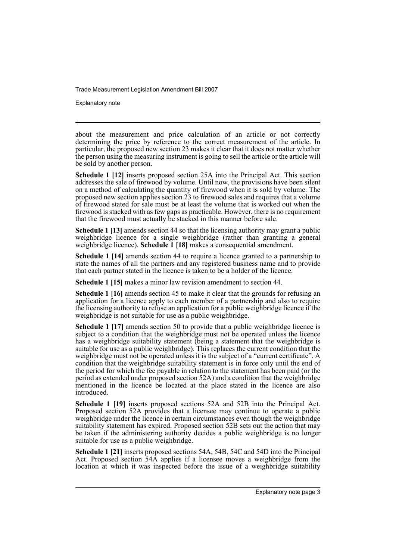Explanatory note

about the measurement and price calculation of an article or not correctly determining the price by reference to the correct measurement of the article. In particular, the proposed new section 23 makes it clear that it does not matter whether the person using the measuring instrument is going to sell the article or the article will be sold by another person.

**Schedule 1 [12]** inserts proposed section 25A into the Principal Act. This section addresses the sale of firewood by volume. Until now, the provisions have been silent on a method of calculating the quantity of firewood when it is sold by volume. The proposed new section applies section 23 to firewood sales and requires that a volume of firewood stated for sale must be at least the volume that is worked out when the firewood is stacked with as few gaps as practicable. However, there is no requirement that the firewood must actually be stacked in this manner before sale.

**Schedule 1 [13]** amends section 44 so that the licensing authority may grant a public weighbridge licence for a single weighbridge (rather than granting a general weighbridge licence). **Schedule 1 [18]** makes a consequential amendment.

**Schedule 1 [14]** amends section 44 to require a licence granted to a partnership to state the names of all the partners and any registered business name and to provide that each partner stated in the licence is taken to be a holder of the licence.

**Schedule 1 [15]** makes a minor law revision amendment to section 44.

**Schedule 1 [16]** amends section 45 to make it clear that the grounds for refusing an application for a licence apply to each member of a partnership and also to require the licensing authority to refuse an application for a public weighbridge licence if the weighbridge is not suitable for use as a public weighbridge.

**Schedule 1 [17]** amends section 50 to provide that a public weighbridge licence is subject to a condition that the weighbridge must not be operated unless the licence has a weighbridge suitability statement (being a statement that the weighbridge is suitable for use as a public weighbridge). This replaces the current condition that the weighbridge must not be operated unless it is the subject of a "current certificate". A condition that the weighbridge suitability statement is in force only until the end of the period for which the fee payable in relation to the statement has been paid (or the period as extended under proposed section 52A) and a condition that the weighbridge mentioned in the licence be located at the place stated in the licence are also introduced.

**Schedule 1 [19]** inserts proposed sections 52A and 52B into the Principal Act. Proposed section 52A provides that a licensee may continue to operate a public weighbridge under the licence in certain circumstances even though the weighbridge suitability statement has expired. Proposed section 52B sets out the action that may be taken if the administering authority decides a public weighbridge is no longer suitable for use as a public weighbridge.

**Schedule 1 [21]** inserts proposed sections 54A, 54B, 54C and 54D into the Principal Act. Proposed section 54A applies if a licensee moves a weighbridge from the location at which it was inspected before the issue of a weighbridge suitability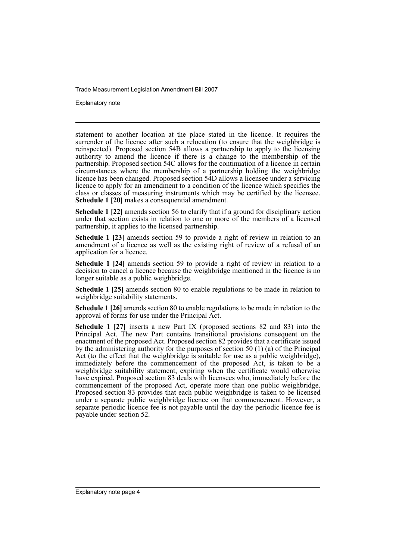Explanatory note

statement to another location at the place stated in the licence. It requires the surrender of the licence after such a relocation (to ensure that the weighbridge is reinspected). Proposed section 54B allows a partnership to apply to the licensing authority to amend the licence if there is a change to the membership of the partnership. Proposed section 54C allows for the continuation of a licence in certain circumstances where the membership of a partnership holding the weighbridge licence has been changed. Proposed section 54D allows a licensee under a servicing licence to apply for an amendment to a condition of the licence which specifies the class or classes of measuring instruments which may be certified by the licensee. **Schedule 1 [20]** makes a consequential amendment.

**Schedule 1 [22]** amends section 56 to clarify that if a ground for disciplinary action under that section exists in relation to one or more of the members of a licensed partnership, it applies to the licensed partnership.

**Schedule 1 [23]** amends section 59 to provide a right of review in relation to an amendment of a licence as well as the existing right of review of a refusal of an application for a licence.

**Schedule 1 [24]** amends section 59 to provide a right of review in relation to a decision to cancel a licence because the weighbridge mentioned in the licence is no longer suitable as a public weighbridge.

**Schedule 1 [25]** amends section 80 to enable regulations to be made in relation to weighbridge suitability statements.

**Schedule 1 [26]** amends section 80 to enable regulations to be made in relation to the approval of forms for use under the Principal Act.

**Schedule 1 [27]** inserts a new Part IX (proposed sections 82 and 83) into the Principal Act. The new Part contains transitional provisions consequent on the enactment of the proposed Act. Proposed section 82 provides that a certificate issued by the administering authority for the purposes of section 50 (1) (a) of the Principal Act (to the effect that the weighbridge is suitable for use as a public weighbridge), immediately before the commencement of the proposed Act, is taken to be a weighbridge suitability statement, expiring when the certificate would otherwise have expired. Proposed section 83 deals with licensees who, immediately before the commencement of the proposed Act, operate more than one public weighbridge. Proposed section 83 provides that each public weighbridge is taken to be licensed under a separate public weighbridge licence on that commencement. However, a separate periodic licence fee is not payable until the day the periodic licence fee is payable under section 52.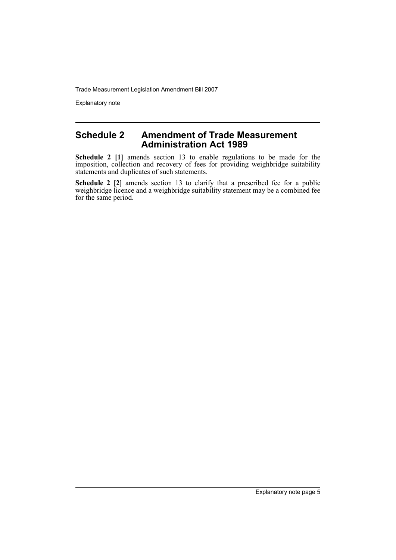Explanatory note

#### **Schedule 2 Amendment of Trade Measurement Administration Act 1989**

**Schedule 2 [1]** amends section 13 to enable regulations to be made for the imposition, collection and recovery of fees for providing weighbridge suitability statements and duplicates of such statements.

**Schedule 2 [2]** amends section 13 to clarify that a prescribed fee for a public weighbridge licence and a weighbridge suitability statement may be a combined fee for the same period.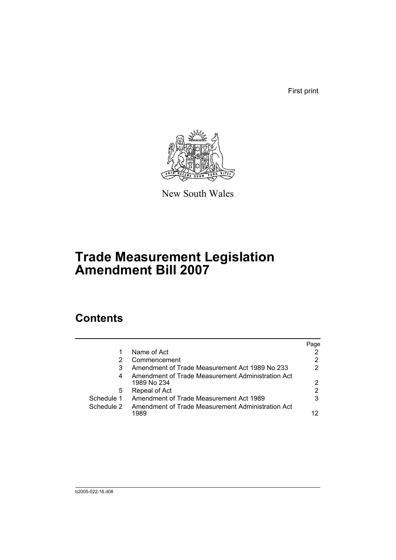First print



New South Wales

# **Trade Measurement Legislation Amendment Bill 2007**

# **Contents**

|            |                                                                  | Page |
|------------|------------------------------------------------------------------|------|
|            | Name of Act                                                      |      |
|            | Commencement                                                     | 2    |
| 3          | Amendment of Trade Measurement Act 1989 No 233                   | 2    |
| 4          | Amendment of Trade Measurement Administration Act<br>1989 No 234 | 2    |
| 5          | Repeal of Act                                                    | 2    |
| Schedule 1 | Amendment of Trade Measurement Act 1989                          | 3    |
| Schedule 2 | Amendment of Trade Measurement Administration Act<br>1989        | 12   |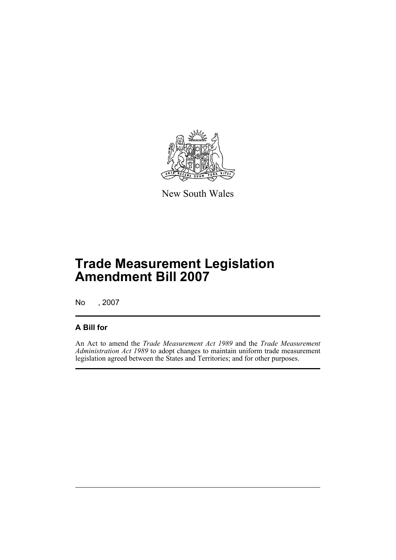

New South Wales

# **Trade Measurement Legislation Amendment Bill 2007**

No , 2007

#### **A Bill for**

An Act to amend the *Trade Measurement Act 1989* and the *Trade Measurement Administration Act 1989* to adopt changes to maintain uniform trade measurement legislation agreed between the States and Territories; and for other purposes.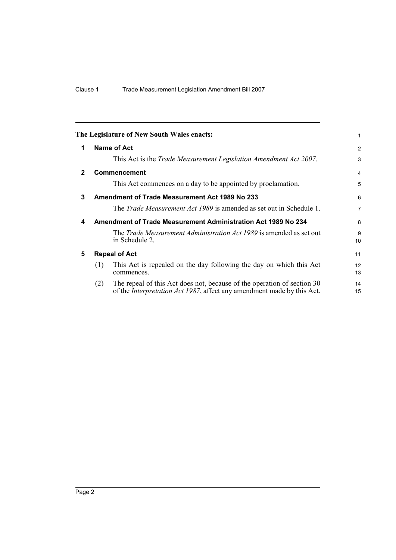<span id="page-9-4"></span><span id="page-9-3"></span><span id="page-9-2"></span><span id="page-9-1"></span><span id="page-9-0"></span>

|              |     | The Legislature of New South Wales enacts:                                                                                                                | 1              |
|--------------|-----|-----------------------------------------------------------------------------------------------------------------------------------------------------------|----------------|
| 1            |     | Name of Act                                                                                                                                               | $\overline{2}$ |
|              |     | This Act is the Trade Measurement Legislation Amendment Act 2007.                                                                                         | 3              |
| $\mathbf{2}$ |     | Commencement                                                                                                                                              | $\overline{4}$ |
|              |     | This Act commences on a day to be appointed by proclamation.                                                                                              | 5              |
| 3            |     | <b>Amendment of Trade Measurement Act 1989 No 233</b>                                                                                                     | 6              |
|              |     | The <i>Trade Measurement Act 1989</i> is amended as set out in Schedule 1.                                                                                | $\overline{7}$ |
| 4            |     | Amendment of Trade Measurement Administration Act 1989 No 234                                                                                             | 8              |
|              |     | The <i>Trade Measurement Administration Act 1989</i> is amended as set out<br>in Schedule 2.                                                              | 9<br>10        |
| 5            |     | <b>Repeal of Act</b>                                                                                                                                      | 11             |
|              | (1) | This Act is repealed on the day following the day on which this Act<br>commences.                                                                         | 12<br>13       |
|              | (2) | The repeal of this Act does not, because of the operation of section 30<br>of the <i>Interpretation Act 1987</i> , affect any amendment made by this Act. | 14<br>15       |
|              |     |                                                                                                                                                           |                |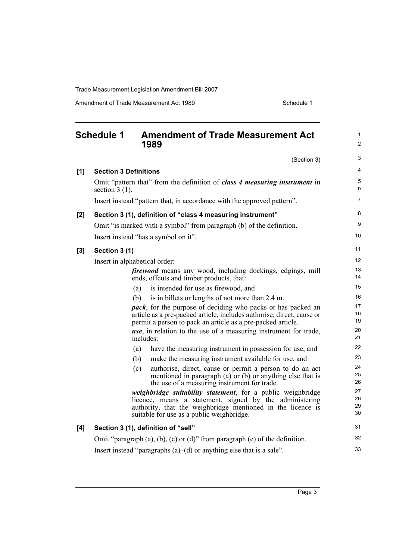Amendment of Trade Measurement Act 1989 Schedule 1

<span id="page-10-0"></span>

|     | <b>Schedule 1</b>             |           | <b>Amendment of Trade Measurement Act</b><br>1989                                                                                                                                                                                  | 1<br>$\overline{c}$  |  |  |
|-----|-------------------------------|-----------|------------------------------------------------------------------------------------------------------------------------------------------------------------------------------------------------------------------------------------|----------------------|--|--|
|     |                               |           | (Section 3)                                                                                                                                                                                                                        | 3                    |  |  |
| [1] | <b>Section 3 Definitions</b>  |           |                                                                                                                                                                                                                                    | 4                    |  |  |
|     | section $3(1)$ .              |           | Omit "pattern that" from the definition of class 4 measuring instrument in                                                                                                                                                         | 5<br>6               |  |  |
|     |                               |           | Insert instead "pattern that, in accordance with the approved pattern".                                                                                                                                                            | 7                    |  |  |
| [2] |                               |           | Section 3 (1), definition of "class 4 measuring instrument"                                                                                                                                                                        | 8                    |  |  |
|     |                               |           | Omit "is marked with a symbol" from paragraph (b) of the definition.                                                                                                                                                               | 9                    |  |  |
|     |                               |           | Insert instead "has a symbol on it".                                                                                                                                                                                               | 10                   |  |  |
| [3] | Section 3 (1)                 |           |                                                                                                                                                                                                                                    | 11                   |  |  |
|     | Insert in alphabetical order: |           |                                                                                                                                                                                                                                    |                      |  |  |
|     |                               |           | <i>firewood</i> means any wood, including dockings, edgings, mill<br>ends, offcuts and timber products, that:                                                                                                                      | 13<br>14             |  |  |
|     |                               | (a)       | is intended for use as firewood, and                                                                                                                                                                                               | 15                   |  |  |
|     |                               | (b)       | is in billets or lengths of not more than 2.4 m.                                                                                                                                                                                   | 16                   |  |  |
|     |                               |           | <i>pack</i> , for the purpose of deciding who packs or has packed an<br>article as a pre-packed article, includes authorise, direct, cause or<br>permit a person to pack an article as a pre-packed article.                       | 17<br>18<br>19       |  |  |
|     |                               | includes: | <i>use</i> , in relation to the use of a measuring instrument for trade,                                                                                                                                                           | 20<br>21             |  |  |
|     |                               | (a)       | have the measuring instrument in possession for use, and                                                                                                                                                                           | 22                   |  |  |
|     |                               | (b)       | make the measuring instrument available for use, and                                                                                                                                                                               | 23                   |  |  |
|     |                               | (c)       | authorise, direct, cause or permit a person to do an act<br>mentioned in paragraph $(a)$ or $(b)$ or anything else that is<br>the use of a measuring instrument for trade.                                                         | 24<br>25<br>26       |  |  |
|     |                               |           | weighbridge suitability statement, for a public weighbridge<br>licence, means a statement, signed by the administering<br>authority, that the weighbridge mentioned in the licence is<br>suitable for use as a public weighbridge. | 27<br>28<br>29<br>30 |  |  |
| [4] |                               |           | Section 3 (1), definition of "sell"                                                                                                                                                                                                | 31                   |  |  |
|     |                               |           | Omit "paragraph $(a)$ , $(b)$ , $(c)$ or $(d)$ " from paragraph $(e)$ of the definition.                                                                                                                                           | 32                   |  |  |
|     |                               |           | Insert instead "paragraphs $(a)$ — $(d)$ or anything else that is a sale".                                                                                                                                                         | 33                   |  |  |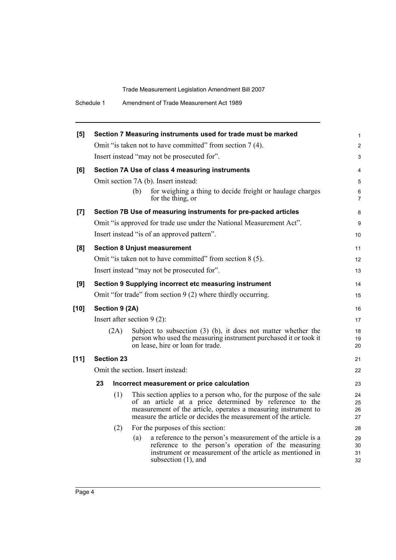| Amendment of Trade Measurement Act 1989<br>Schedule 1 |  |
|-------------------------------------------------------|--|
|-------------------------------------------------------|--|

| [5]    |                                   |                   | Section 7 Measuring instruments used for trade must be marked                                                                                                                                                                                                    | 1                    |  |  |
|--------|-----------------------------------|-------------------|------------------------------------------------------------------------------------------------------------------------------------------------------------------------------------------------------------------------------------------------------------------|----------------------|--|--|
|        |                                   |                   | Omit "is taken not to have committed" from section 7 (4).                                                                                                                                                                                                        | $\overline{c}$       |  |  |
|        |                                   |                   | Insert instead "may not be prosecuted for".                                                                                                                                                                                                                      | 3                    |  |  |
| [6]    |                                   |                   | Section 7A Use of class 4 measuring instruments                                                                                                                                                                                                                  | 4                    |  |  |
|        |                                   |                   | Omit section 7A (b). Insert instead:                                                                                                                                                                                                                             | 5                    |  |  |
|        |                                   |                   | for weighing a thing to decide freight or haulage charges<br>(b)<br>for the thing, or                                                                                                                                                                            | 6<br>7               |  |  |
| $[7]$  |                                   |                   | Section 7B Use of measuring instruments for pre-packed articles                                                                                                                                                                                                  | 8                    |  |  |
|        |                                   |                   | Omit "is approved for trade use under the National Measurement Act".                                                                                                                                                                                             | 9                    |  |  |
|        |                                   |                   | Insert instead "is of an approved pattern".                                                                                                                                                                                                                      | 10                   |  |  |
| [8]    |                                   |                   | <b>Section 8 Unjust measurement</b>                                                                                                                                                                                                                              | 11                   |  |  |
|        |                                   |                   | Omit "is taken not to have committed" from section 8 (5).                                                                                                                                                                                                        | 12                   |  |  |
|        |                                   |                   | Insert instead "may not be prosecuted for".                                                                                                                                                                                                                      | 13                   |  |  |
| [9]    |                                   |                   | Section 9 Supplying incorrect etc measuring instrument                                                                                                                                                                                                           | 14                   |  |  |
|        |                                   |                   | Omit "for trade" from section 9 (2) where thirdly occurring.                                                                                                                                                                                                     | 15                   |  |  |
| $[10]$ | Section 9 (2A)                    |                   |                                                                                                                                                                                                                                                                  |                      |  |  |
|        | Insert after section $9(2)$ :     |                   |                                                                                                                                                                                                                                                                  |                      |  |  |
|        |                                   | (2A)              | Subject to subsection $(3)$ (b), it does not matter whether the<br>person who used the measuring instrument purchased it or took it<br>on lease, hire or loan for trade.                                                                                         | 18<br>19<br>20       |  |  |
| $[11]$ |                                   | <b>Section 23</b> |                                                                                                                                                                                                                                                                  | 21                   |  |  |
|        | Omit the section. Insert instead: |                   |                                                                                                                                                                                                                                                                  |                      |  |  |
|        | 23                                |                   | Incorrect measurement or price calculation                                                                                                                                                                                                                       | 23                   |  |  |
|        |                                   | (1)               | This section applies to a person who, for the purpose of the sale<br>of an article at a price determined by reference to the<br>measurement of the article, operates a measuring instrument to<br>measure the article or decides the measurement of the article. | 24<br>25<br>26<br>27 |  |  |
|        |                                   | (2)               | For the purposes of this section:                                                                                                                                                                                                                                | 28                   |  |  |
|        |                                   |                   | a reference to the person's measurement of the article is a<br>(a)<br>reference to the person's operation of the measuring<br>instrument or measurement of the article as mentioned in<br>subsection $(1)$ , and                                                 | 29<br>30<br>31<br>32 |  |  |
|        |                                   |                   |                                                                                                                                                                                                                                                                  |                      |  |  |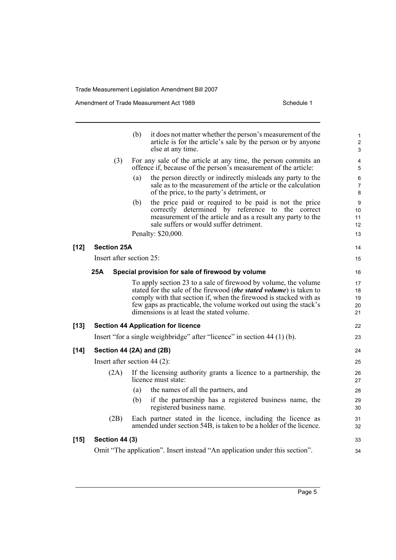Amendment of Trade Measurement Act 1989 Schedule 1

**[12]** 

**[13]** 

[14]

 $[15]$ 

|                          | (b)<br>it does not matter whether the person's measurement of the<br>article is for the article's sale by the person or by anyone<br>else at any time.                                                                                                                                                                              | 1<br>$\overline{2}$<br>3   |
|--------------------------|-------------------------------------------------------------------------------------------------------------------------------------------------------------------------------------------------------------------------------------------------------------------------------------------------------------------------------------|----------------------------|
| (3)                      | For any sale of the article at any time, the person commits an<br>offence if, because of the person's measurement of the article:                                                                                                                                                                                                   | 4<br>5                     |
|                          | (a)<br>the person directly or indirectly misleads any party to the<br>sale as to the measurement of the article or the calculation<br>of the price, to the party's detriment, or                                                                                                                                                    | 6<br>$\overline{7}$<br>8   |
|                          | (b)<br>the price paid or required to be paid is not the price<br>correctly determined by reference to the correct<br>measurement of the article and as a result any party to the<br>sale suffers or would suffer detriment.                                                                                                         | 9<br>10<br>11<br>12        |
|                          | Penalty: \$20,000.                                                                                                                                                                                                                                                                                                                  | 13                         |
| <b>Section 25A</b>       |                                                                                                                                                                                                                                                                                                                                     | 14                         |
| Insert after section 25: |                                                                                                                                                                                                                                                                                                                                     | 15                         |
| 25A                      | Special provision for sale of firewood by volume                                                                                                                                                                                                                                                                                    | 16                         |
|                          | To apply section 23 to a sale of firewood by volume, the volume<br>stated for the sale of the firewood <i>(the stated volume)</i> is taken to<br>comply with that section if, when the firewood is stacked with as<br>few gaps as practicable, the volume worked out using the stack's<br>dimensions is at least the stated volume. | 17<br>18<br>19<br>20<br>21 |
|                          | <b>Section 44 Application for licence</b>                                                                                                                                                                                                                                                                                           | 22                         |
|                          | Insert "for a single weighbridge" after "licence" in section 44 (1) (b).                                                                                                                                                                                                                                                            | 23                         |
|                          | Section 44 (2A) and (2B)                                                                                                                                                                                                                                                                                                            | 24                         |
|                          | Insert after section 44 $(2)$ :                                                                                                                                                                                                                                                                                                     | 25                         |
| (2A)                     | If the licensing authority grants a licence to a partnership, the<br>licence must state:                                                                                                                                                                                                                                            | 26<br>27                   |
|                          | the names of all the partners, and<br>(a)                                                                                                                                                                                                                                                                                           | 28                         |
|                          | if the partnership has a registered business name, the<br>(b)<br>registered business name.                                                                                                                                                                                                                                          | 29<br>30                   |
| (2B)                     | Each partner stated in the licence, including the licence as<br>amended under section 54B, is taken to be a holder of the licence.                                                                                                                                                                                                  | 31<br>32                   |
| Section 44 (3)           |                                                                                                                                                                                                                                                                                                                                     | 33                         |
|                          | Omit "The application". Insert instead "An application under this section".                                                                                                                                                                                                                                                         | 34                         |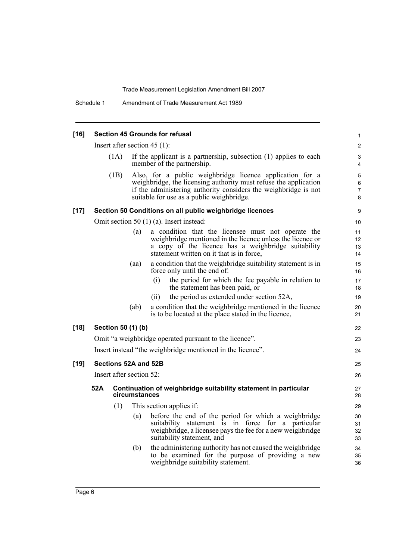| $[16]$ | <b>Section 45 Grounds for refusal</b> |      |                          |                                                                                                                                                                                                                                              |                        |  |
|--------|---------------------------------------|------|--------------------------|----------------------------------------------------------------------------------------------------------------------------------------------------------------------------------------------------------------------------------------------|------------------------|--|
|        | Insert after section $45(1)$ :        |      |                          |                                                                                                                                                                                                                                              |                        |  |
|        |                                       | (1A) |                          | If the applicant is a partnership, subsection (1) applies to each<br>member of the partnership.                                                                                                                                              | 3<br>$\overline{4}$    |  |
|        |                                       | (1B) |                          | Also, for a public weighbridge licence application for a<br>weighbridge, the licensing authority must refuse the application<br>if the administering authority considers the weighbridge is not<br>suitable for use as a public weighbridge. | 5<br>$\,6\,$<br>7<br>8 |  |
| $[17]$ |                                       |      |                          | Section 50 Conditions on all public weighbridge licences                                                                                                                                                                                     | 9                      |  |
|        |                                       |      |                          | Omit section 50 (1) (a). Insert instead:                                                                                                                                                                                                     | 10                     |  |
|        |                                       |      | (a)                      | a condition that the licensee must not operate the<br>weighbridge mentioned in the licence unless the licence or<br>a copy of the licence has a weighbridge suitability<br>statement written on it that is in force,                         | 11<br>12<br>13<br>14   |  |
|        |                                       |      | (aa)                     | a condition that the weighbridge suitability statement is in<br>force only until the end of:                                                                                                                                                 | 15<br>16               |  |
|        |                                       |      |                          | the period for which the fee payable in relation to<br>(i)<br>the statement has been paid, or                                                                                                                                                | 17<br>18               |  |
|        |                                       |      |                          | the period as extended under section 52A,<br>(i)                                                                                                                                                                                             | 19                     |  |
|        |                                       |      | (ab)                     | a condition that the weighbridge mentioned in the licence<br>is to be located at the place stated in the licence,                                                                                                                            | 20<br>21               |  |
| $[18]$ |                                       |      | Section 50 (1) (b)       |                                                                                                                                                                                                                                              | 22                     |  |
|        |                                       |      |                          | Omit "a weighbridge operated pursuant to the licence".                                                                                                                                                                                       | 23                     |  |
|        |                                       |      |                          | Insert instead "the weighbridge mentioned in the licence".                                                                                                                                                                                   | 24                     |  |
| $[19]$ |                                       |      | Sections 52A and 52B     |                                                                                                                                                                                                                                              | 25                     |  |
|        |                                       |      | Insert after section 52: |                                                                                                                                                                                                                                              | 26                     |  |
|        | 52A                                   |      | circumstances            | Continuation of weighbridge suitability statement in particular                                                                                                                                                                              | 27<br>28               |  |
|        |                                       | (1)  |                          | This section applies if:                                                                                                                                                                                                                     | 29                     |  |
|        |                                       |      | (a)                      | before the end of the period for which a weighbridge<br>suitability statement is in force for a particular<br>weighbridge, a licensee pays the fee for a new weighbridge<br>suitability statement, and                                       | 30<br>31<br>32<br>33   |  |
|        |                                       |      | (b)                      | the administering authority has not caused the weighbridge<br>to be examined for the purpose of providing a new<br>weighbridge suitability statement.                                                                                        | 34<br>35<br>36         |  |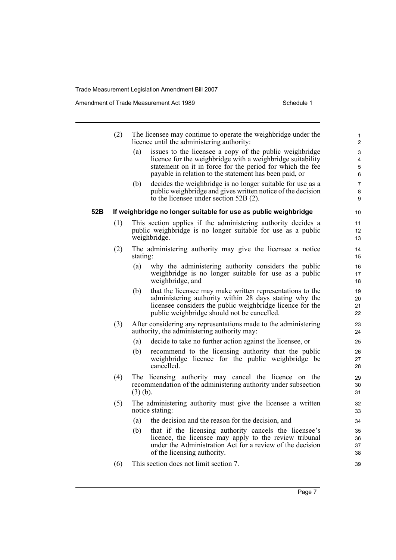Amendment of Trade Measurement Act 1989 Schedule 1

|     | (2) |            | The licensee may continue to operate the weighbridge under the<br>licence until the administering authority:   | 1<br>$\overline{2}$ |
|-----|-----|------------|----------------------------------------------------------------------------------------------------------------|---------------------|
|     |     | (a)        | issues to the licensee a copy of the public weighbridge                                                        | 3                   |
|     |     |            | licence for the weighbridge with a weighbridge suitability                                                     | 4                   |
|     |     |            | statement on it in force for the period for which the fee                                                      | 5                   |
|     |     |            | payable in relation to the statement has been paid, or                                                         | 6                   |
|     |     | (b)        | decides the weighbridge is no longer suitable for use as a                                                     | $\overline{7}$      |
|     |     |            | public weighbridge and gives written notice of the decision<br>to the licensee under section $52B(2)$ .        | 8<br>9              |
| 52B |     |            | If weighbridge no longer suitable for use as public weighbridge                                                | 10                  |
|     | (1) |            | This section applies if the administering authority decides a                                                  | 11                  |
|     |     |            | public weighbridge is no longer suitable for use as a public                                                   | 12                  |
|     |     |            | weighbridge.                                                                                                   | 13                  |
|     | (2) |            | The administering authority may give the licensee a notice                                                     | 14                  |
|     |     | stating:   |                                                                                                                | 15                  |
|     |     | (a)        | why the administering authority considers the public                                                           | 16                  |
|     |     |            | weighbridge is no longer suitable for use as a public                                                          | 17                  |
|     |     |            | weighbridge, and                                                                                               | 18                  |
|     |     | (b)        | that the licensee may make written representations to the                                                      | 19                  |
|     |     |            | administering authority within 28 days stating why the                                                         | 20                  |
|     |     |            | licensee considers the public weighbridge licence for the                                                      | 21                  |
|     |     |            | public weighbridge should not be cancelled.                                                                    | 22                  |
|     | (3) |            | After considering any representations made to the administering<br>authority, the administering authority may: | 23<br>24            |
|     |     | (a)        | decide to take no further action against the licensee, or                                                      | 25                  |
|     |     | (b)        | recommend to the licensing authority that the public                                                           | 26                  |
|     |     |            | weighbridge licence for the public weighbridge be                                                              | 27                  |
|     |     |            | cancelled.                                                                                                     | 28                  |
|     | (4) |            | The licensing authority may cancel the licence on the                                                          | 29                  |
|     |     |            | recommendation of the administering authority under subsection                                                 | 30                  |
|     |     | $(3)$ (b). |                                                                                                                | 31                  |
|     | (5) |            | The administering authority must give the licensee a written                                                   | 32                  |
|     |     |            | notice stating:                                                                                                | 33                  |
|     |     | (a)        | the decision and the reason for the decision, and                                                              | 34                  |
|     |     | (b)        | that if the licensing authority cancels the licensee's                                                         | 35                  |
|     |     |            | licence, the licensee may apply to the review tribunal                                                         | 36                  |
|     |     |            | under the Administration Act for a review of the decision                                                      | 37                  |
|     |     |            | of the licensing authority.                                                                                    | 38                  |
|     | (6) |            | This section does not limit section 7.                                                                         | 39                  |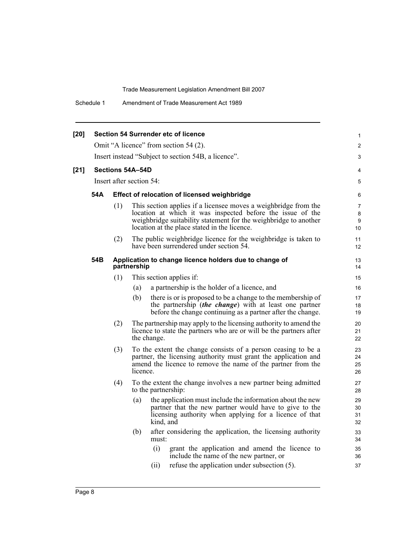Schedule 1 Amendment of Trade Measurement Act 1989

| $[20]$ | <b>Section 54 Surrender etc of licence</b>          |     |                  |             |                                                                                                                                                                                                                                                   |                                |  |  |  |  |
|--------|-----------------------------------------------------|-----|------------------|-------------|---------------------------------------------------------------------------------------------------------------------------------------------------------------------------------------------------------------------------------------------------|--------------------------------|--|--|--|--|
|        | Omit "A licence" from section 54 (2).               |     |                  |             |                                                                                                                                                                                                                                                   |                                |  |  |  |  |
|        | Insert instead "Subject to section 54B, a licence". |     |                  |             |                                                                                                                                                                                                                                                   |                                |  |  |  |  |
| $[21]$ |                                                     |     | Sections 54A-54D |             |                                                                                                                                                                                                                                                   | 4                              |  |  |  |  |
|        | Insert after section 54:                            |     |                  |             |                                                                                                                                                                                                                                                   |                                |  |  |  |  |
|        | 54A                                                 |     |                  |             | <b>Effect of relocation of licensed weighbridge</b>                                                                                                                                                                                               | 6                              |  |  |  |  |
|        |                                                     | (1) |                  |             | This section applies if a licensee moves a weighbridge from the<br>location at which it was inspected before the issue of the<br>weighbridge suitability statement for the weighbridge to another<br>location at the place stated in the licence. | $\overline{7}$<br>8<br>9<br>10 |  |  |  |  |
|        |                                                     | (2) |                  |             | The public weighbridge licence for the weighbridge is taken to<br>have been surrendered under section 54.                                                                                                                                         | 11<br>12                       |  |  |  |  |
|        | 54B                                                 |     | partnership      |             | Application to change licence holders due to change of                                                                                                                                                                                            | 13<br>14                       |  |  |  |  |
|        |                                                     | (1) |                  |             | This section applies if:                                                                                                                                                                                                                          | 15                             |  |  |  |  |
|        |                                                     |     | (a)              |             | a partnership is the holder of a licence, and                                                                                                                                                                                                     | 16                             |  |  |  |  |
|        |                                                     |     | (b)              |             | there is or is proposed to be a change to the membership of<br>the partnership <i>(the change)</i> with at least one partner<br>before the change continuing as a partner after the change.                                                       | 17<br>18<br>19                 |  |  |  |  |
|        |                                                     | (2) |                  | the change. | The partnership may apply to the licensing authority to amend the<br>licence to state the partners who are or will be the partners after                                                                                                          | 20<br>21<br>22                 |  |  |  |  |
|        |                                                     | (3) | licence.         |             | To the extent the change consists of a person ceasing to be a<br>partner, the licensing authority must grant the application and<br>amend the licence to remove the name of the partner from the                                                  | 23<br>24<br>25<br>26           |  |  |  |  |
|        |                                                     | (4) |                  |             | To the extent the change involves a new partner being admitted<br>to the partnership:                                                                                                                                                             | 27<br>28                       |  |  |  |  |
|        |                                                     |     | (a)              | kind, and   | the application must include the information about the new<br>partner that the new partner would have to give to the<br>licensing authority when applying for a licence of that                                                                   | 29<br>30<br>31<br>32           |  |  |  |  |
|        |                                                     |     | (b)              | must:       | after considering the application, the licensing authority                                                                                                                                                                                        | 33<br>34                       |  |  |  |  |
|        |                                                     |     |                  | (i)         | grant the application and amend the licence to<br>include the name of the new partner, or                                                                                                                                                         | 35<br>36                       |  |  |  |  |
|        |                                                     |     |                  | (i)         | refuse the application under subsection (5).                                                                                                                                                                                                      | 37                             |  |  |  |  |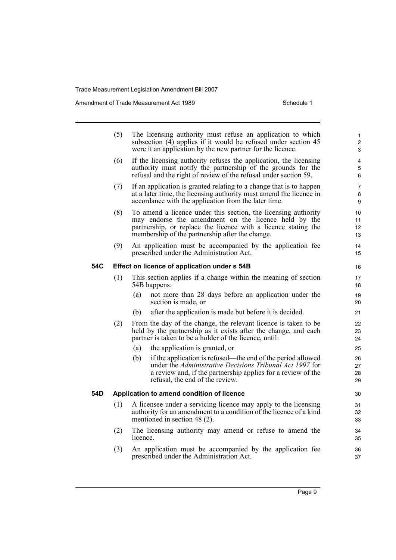Amendment of Trade Measurement Act 1989 Schedule 1

|     | (5) | The licensing authority must refuse an application to which<br>subsection (4) applies if it would be refused under section 45<br>were it an application by the new partner for the licence.                                                 | $\mathbf{1}$<br>2<br>3 |
|-----|-----|---------------------------------------------------------------------------------------------------------------------------------------------------------------------------------------------------------------------------------------------|------------------------|
|     | (6) | If the licensing authority refuses the application, the licensing<br>authority must notify the partnership of the grounds for the<br>refusal and the right of review of the refusal under section 59.                                       | 4<br>5<br>6            |
|     | (7) | If an application is granted relating to a change that is to happen<br>at a later time, the licensing authority must amend the licence in<br>accordance with the application from the later time.                                           | 7<br>8<br>9            |
|     | (8) | To amend a licence under this section, the licensing authority<br>may endorse the amendment on the licence held by the<br>partnership, or replace the licence with a licence stating the<br>membership of the partnership after the change. | 10<br>11<br>12<br>13   |
|     | (9) | An application must be accompanied by the application fee<br>prescribed under the Administration Act.                                                                                                                                       | 14<br>15               |
| 54C |     | Effect on licence of application under s 54B                                                                                                                                                                                                | 16                     |
|     | (1) | This section applies if a change within the meaning of section<br>54B happens:                                                                                                                                                              | 17<br>18               |
|     |     | not more than 28 days before an application under the<br>(a)<br>section is made, or                                                                                                                                                         | 19<br>20               |
|     |     | after the application is made but before it is decided.<br>(b)                                                                                                                                                                              | 21                     |
|     | (2) | From the day of the change, the relevant licence is taken to be<br>held by the partnership as it exists after the change, and each<br>partner is taken to be a holder of the licence, until:                                                | 22<br>23<br>24         |
|     |     | the application is granted, or<br>(a)                                                                                                                                                                                                       | 25                     |
|     |     | if the application is refused—the end of the period allowed<br>(b)<br>under the Administrative Decisions Tribunal Act 1997 for<br>a review and, if the partnership applies for a review of the<br>refusal, the end of the review.           | 26<br>27<br>28<br>29   |
| 54D |     | Application to amend condition of licence                                                                                                                                                                                                   | 30                     |
|     | (1) | A licensee under a servicing licence may apply to the licensing<br>authority for an amendment to a condition of the licence of a kind<br>mentioned in section 48 (2).                                                                       | 31<br>32<br>33         |
|     | (2) | The licensing authority may amend or refuse to amend the<br>licence.                                                                                                                                                                        | 34<br>35               |
|     | (3) | An application must be accompanied by the application fee                                                                                                                                                                                   | 36                     |

prescribed under the Administration Act.

Page 9

37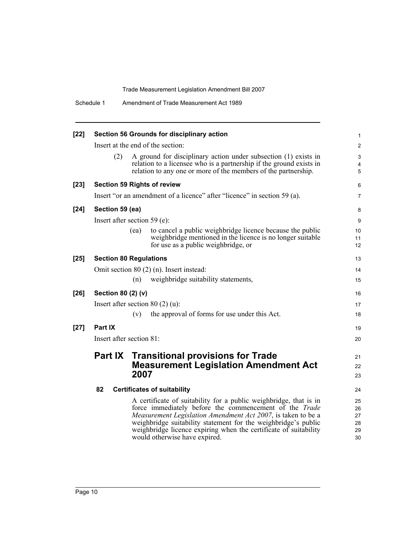|        | Schedule 1         | Amendment of Trade Measurement Act 1989                                                                                                                                                                                                                                                                                                                            |                                  |
|--------|--------------------|--------------------------------------------------------------------------------------------------------------------------------------------------------------------------------------------------------------------------------------------------------------------------------------------------------------------------------------------------------------------|----------------------------------|
| $[22]$ |                    | Section 56 Grounds for disciplinary action                                                                                                                                                                                                                                                                                                                         | $\mathbf{1}$                     |
|        |                    | Insert at the end of the section:                                                                                                                                                                                                                                                                                                                                  | $\overline{2}$                   |
|        | (2)                | A ground for disciplinary action under subsection (1) exists in<br>relation to a licensee who is a partnership if the ground exists in<br>relation to any one or more of the members of the partnership.                                                                                                                                                           | 3<br>4<br>5                      |
| $[23]$ |                    | <b>Section 59 Rights of review</b>                                                                                                                                                                                                                                                                                                                                 | 6                                |
|        |                    | Insert "or an amendment of a licence" after "licence" in section 59 (a).                                                                                                                                                                                                                                                                                           | 7                                |
| $[24]$ | Section 59 (ea)    |                                                                                                                                                                                                                                                                                                                                                                    | 8                                |
|        |                    | Insert after section 59 (e):                                                                                                                                                                                                                                                                                                                                       | 9                                |
|        |                    | to cancel a public weighbridge licence because the public<br>(ea)<br>weighbridge mentioned in the licence is no longer suitable<br>for use as a public weighbridge, or                                                                                                                                                                                             | 10<br>11<br>12                   |
| $[25]$ |                    | <b>Section 80 Regulations</b>                                                                                                                                                                                                                                                                                                                                      | 13                               |
|        |                    | Omit section $80(2)$ (n). Insert instead:                                                                                                                                                                                                                                                                                                                          | 14                               |
|        |                    | weighbridge suitability statements,<br>(n)                                                                                                                                                                                                                                                                                                                         | 15                               |
| $[26]$ | Section 80 (2) (v) |                                                                                                                                                                                                                                                                                                                                                                    | 16                               |
|        |                    | Insert after section 80 $(2)$ (u):                                                                                                                                                                                                                                                                                                                                 | 17                               |
|        |                    | the approval of forms for use under this Act.<br>(v)                                                                                                                                                                                                                                                                                                               | 18                               |
| $[27]$ | Part IX            |                                                                                                                                                                                                                                                                                                                                                                    | 19                               |
|        |                    | Insert after section 81:                                                                                                                                                                                                                                                                                                                                           | 20                               |
|        |                    | <b>Part IX Transitional provisions for Trade</b><br><b>Measurement Legislation Amendment Act</b><br>2007                                                                                                                                                                                                                                                           | 21<br>22<br>23                   |
|        | 82                 | <b>Certificates of suitability</b>                                                                                                                                                                                                                                                                                                                                 | 24                               |
|        |                    | A certificate of suitability for a public weighbridge, that is in<br>force immediately before the commencement of the Trade<br>Measurement Legislation Amendment Act 2007, is taken to be a<br>weighbridge suitability statement for the weighbridge's public<br>weighbridge licence expiring when the certificate of suitability<br>would otherwise have expired. | 25<br>26<br>27<br>28<br>29<br>30 |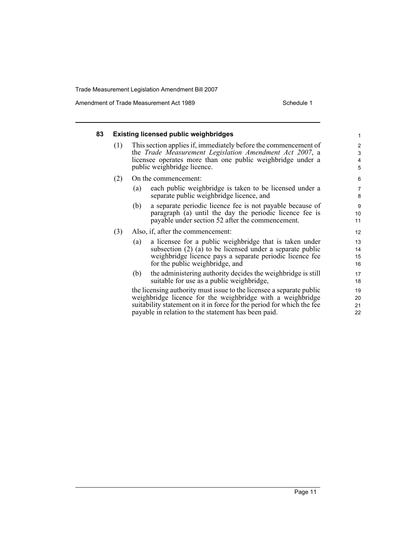Amendment of Trade Measurement Act 1989 Schedule 1

| 83 |     | <b>Existing licensed public weighbridges</b>                                                                                                                                                                                    | $\mathbf{1}$         |
|----|-----|---------------------------------------------------------------------------------------------------------------------------------------------------------------------------------------------------------------------------------|----------------------|
|    | (1) | This section applies if, immediately before the commencement of<br>the <i>Trade Measurement Legislation Amendment Act 2007</i> , a<br>licensee operates more than one public weighbridge under a<br>public weighbridge licence. | 2<br>3<br>4<br>5     |
|    | (2) | On the commencement:                                                                                                                                                                                                            | 6                    |
|    |     | each public weighbridge is taken to be licensed under a<br>(a)<br>separate public weighbridge licence, and                                                                                                                      | $\overline{7}$<br>8  |
|    |     | a separate periodic licence fee is not payable because of<br>(b)<br>paragraph (a) until the day the periodic licence fee is<br>payable under section 52 after the commencement.                                                 | 9<br>10<br>11        |
|    | (3) | Also, if, after the commencement:                                                                                                                                                                                               | 12                   |
|    |     | a licensee for a public weighbridge that is taken under<br>(a)<br>subsection (2) (a) to be licensed under a separate public<br>weighbridge licence pays a separate periodic licence fee<br>for the public weighbridge, and      | 13<br>14<br>15<br>16 |
|    |     | the administering authority decides the weighbridge is still<br>(b)<br>suitable for use as a public weighbridge,                                                                                                                | 17<br>18             |
|    |     | the licensing authority must issue to the licensee a separate public<br>weighbridge licence for the weighbridge with a weighbridge<br>suitability statement on it in force for the period for which the fee                     | 19<br>20<br>21       |
|    |     | payable in relation to the statement has been paid.                                                                                                                                                                             | 22                   |